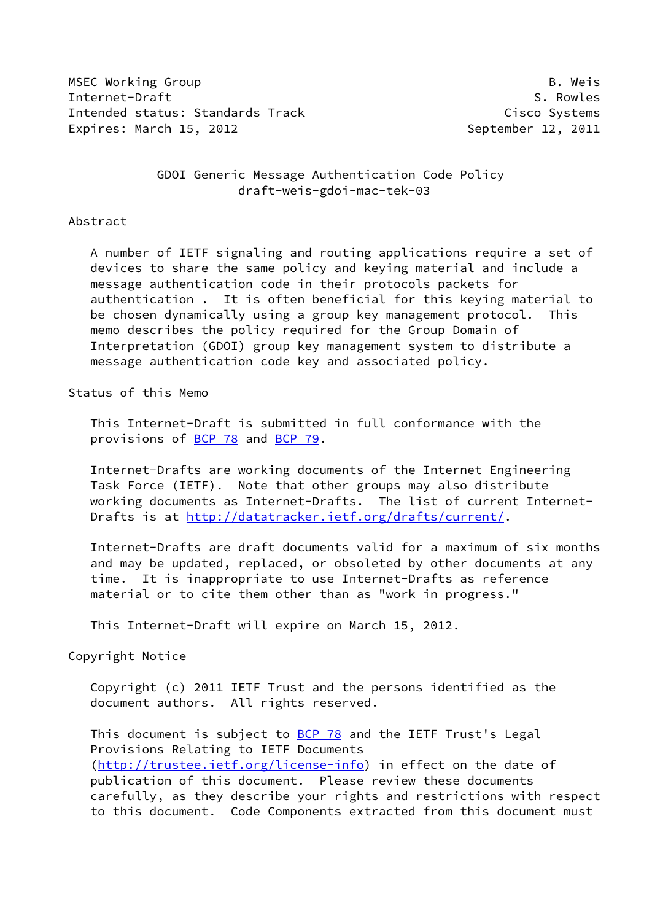MSEC Working Group **B. Weishing B. Weishing B. Weishing B. Weishing B. Weishing B. Weishing B. Weishing B. Weishing** Internet-Draft S. Rowles Intended status: Standards Track Cisco Systems Expires: March 15, 2012 **September 12, 2011** 

 GDOI Generic Message Authentication Code Policy draft-weis-gdoi-mac-tek-03

#### Abstract

 A number of IETF signaling and routing applications require a set of devices to share the same policy and keying material and include a message authentication code in their protocols packets for authentication . It is often beneficial for this keying material to be chosen dynamically using a group key management protocol. This memo describes the policy required for the Group Domain of Interpretation (GDOI) group key management system to distribute a message authentication code key and associated policy.

#### Status of this Memo

 This Internet-Draft is submitted in full conformance with the provisions of **BCP 78** and **BCP 79**.

 Internet-Drafts are working documents of the Internet Engineering Task Force (IETF). Note that other groups may also distribute working documents as Internet-Drafts. The list of current Internet Drafts is at<http://datatracker.ietf.org/drafts/current/>.

 Internet-Drafts are draft documents valid for a maximum of six months and may be updated, replaced, or obsoleted by other documents at any time. It is inappropriate to use Internet-Drafts as reference material or to cite them other than as "work in progress."

This Internet-Draft will expire on March 15, 2012.

#### Copyright Notice

 Copyright (c) 2011 IETF Trust and the persons identified as the document authors. All rights reserved.

This document is subject to **[BCP 78](https://datatracker.ietf.org/doc/pdf/bcp78)** and the IETF Trust's Legal Provisions Relating to IETF Documents [\(http://trustee.ietf.org/license-info](http://trustee.ietf.org/license-info)) in effect on the date of publication of this document. Please review these documents carefully, as they describe your rights and restrictions with respect to this document. Code Components extracted from this document must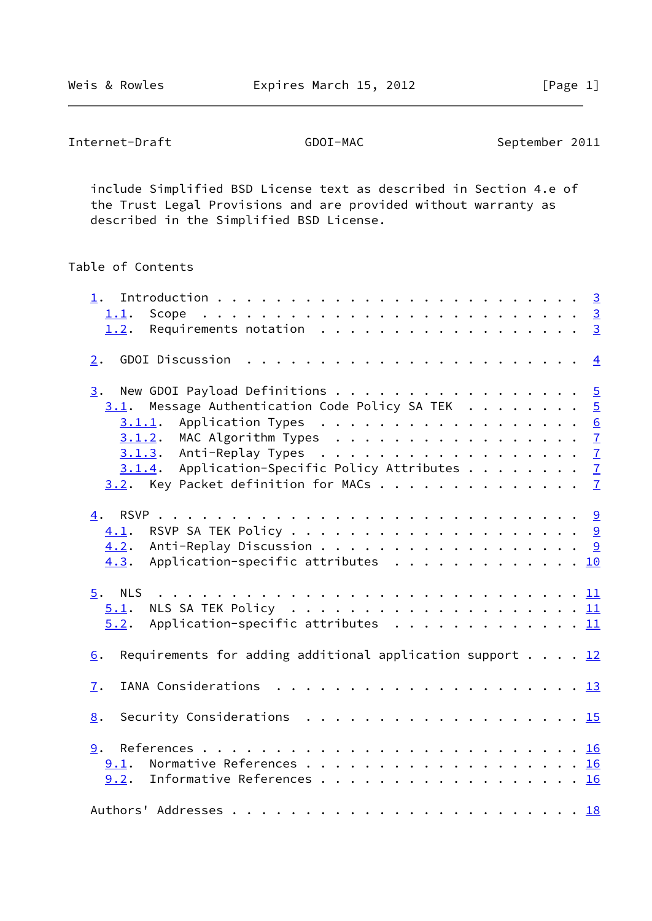include Simplified BSD License text as described in Section 4.e of the Trust Legal Provisions and are provided without warranty as described in the Simplified BSD License.

## Table of Contents

| 1.1.<br>Scope                                                                                  |  |  |  |  |  |
|------------------------------------------------------------------------------------------------|--|--|--|--|--|
| Requirements notation $\cdots$ 3<br>1.2.                                                       |  |  |  |  |  |
| 2.                                                                                             |  |  |  |  |  |
| New GDOI Payload Definitions 5<br>3.                                                           |  |  |  |  |  |
| Message Authentication Code Policy SA TEK $\cdots \cdots$<br>3.1.                              |  |  |  |  |  |
| Application Types 6<br>3.1.1.                                                                  |  |  |  |  |  |
| MAC Algorithm Types $\ldots$ $\mathbb{Z}$<br>3.1.2.                                            |  |  |  |  |  |
| $3.1.3$ . Anti-Replay Types 7                                                                  |  |  |  |  |  |
| $3.1.4$ . Application-Specific Policy Attributes $\frac{7}{4}$                                 |  |  |  |  |  |
| $3.2$ . Key Packet definition for MACs 7                                                       |  |  |  |  |  |
| 4.                                                                                             |  |  |  |  |  |
| 4.1.                                                                                           |  |  |  |  |  |
| Anti-Replay Discussion 9<br>4.2.                                                               |  |  |  |  |  |
| Application-specific attributes 10<br>4.3.                                                     |  |  |  |  |  |
|                                                                                                |  |  |  |  |  |
| 5.1.                                                                                           |  |  |  |  |  |
| Application-specific attributes $\ldots \ldots \ldots \ldots \ldots \underline{11}$<br>5.2.    |  |  |  |  |  |
| Requirements for adding additional application support $\ldots$ $\frac{12}{1}$<br>6.           |  |  |  |  |  |
| $\mathbf{I}$ .                                                                                 |  |  |  |  |  |
|                                                                                                |  |  |  |  |  |
| Security Considerations $\ldots \ldots \ldots \ldots \ldots \ldots \ldots \frac{15}{15}$<br>8. |  |  |  |  |  |
|                                                                                                |  |  |  |  |  |
| 9.1.                                                                                           |  |  |  |  |  |
| Informative References 16<br>9.2.                                                              |  |  |  |  |  |
|                                                                                                |  |  |  |  |  |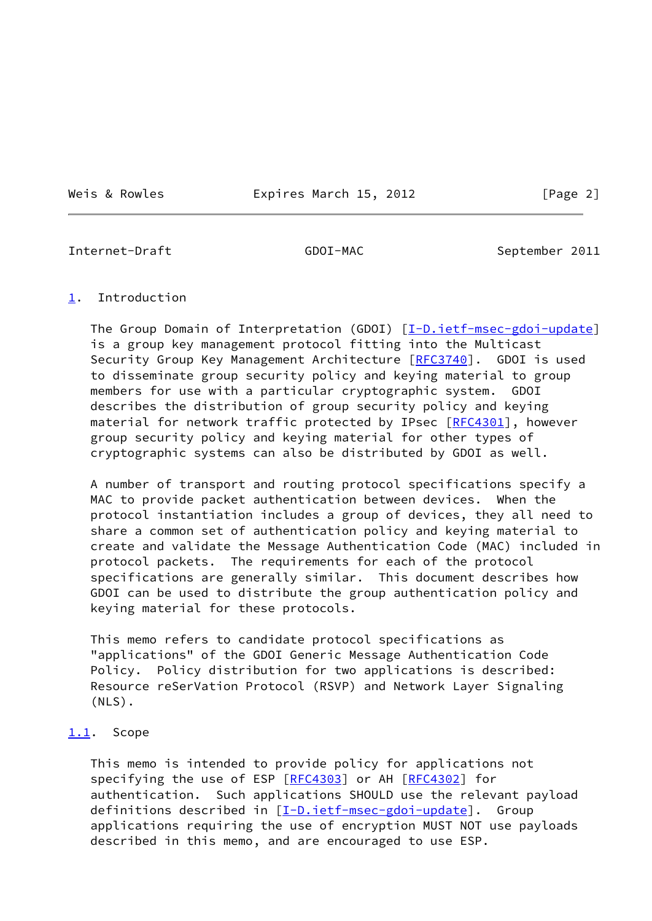Weis & Rowles **Expires March 15, 2012** [Page 2]

<span id="page-2-1"></span>Internet-Draft GDOI-MAC September 2011

#### <span id="page-2-0"></span>[1](#page-2-0). Introduction

The Group Domain of Interpretation (GDOI) [[I-D.ietf-msec-gdoi-update\]](#page-17-4) is a group key management protocol fitting into the Multicast Security Group Key Management Architecture [[RFC3740\]](https://datatracker.ietf.org/doc/pdf/rfc3740). GDOI is used to disseminate group security policy and keying material to group members for use with a particular cryptographic system. GDOI describes the distribution of group security policy and keying material for network traffic protected by IPsec [\[RFC4301](https://datatracker.ietf.org/doc/pdf/rfc4301)], however group security policy and keying material for other types of cryptographic systems can also be distributed by GDOI as well.

 A number of transport and routing protocol specifications specify a MAC to provide packet authentication between devices. When the protocol instantiation includes a group of devices, they all need to share a common set of authentication policy and keying material to create and validate the Message Authentication Code (MAC) included in protocol packets. The requirements for each of the protocol specifications are generally similar. This document describes how GDOI can be used to distribute the group authentication policy and keying material for these protocols.

 This memo refers to candidate protocol specifications as "applications" of the GDOI Generic Message Authentication Code Policy. Policy distribution for two applications is described: Resource reSerVation Protocol (RSVP) and Network Layer Signaling (NLS).

#### <span id="page-2-2"></span>[1.1](#page-2-2). Scope

 This memo is intended to provide policy for applications not specifying the use of ESP [[RFC4303](https://datatracker.ietf.org/doc/pdf/rfc4303)] or AH [[RFC4302](https://datatracker.ietf.org/doc/pdf/rfc4302)] for authentication. Such applications SHOULD use the relevant payload definitions described in [\[I-D.ietf-msec-gdoi-update\]](#page-17-4). Group applications requiring the use of encryption MUST NOT use payloads described in this memo, and are encouraged to use ESP.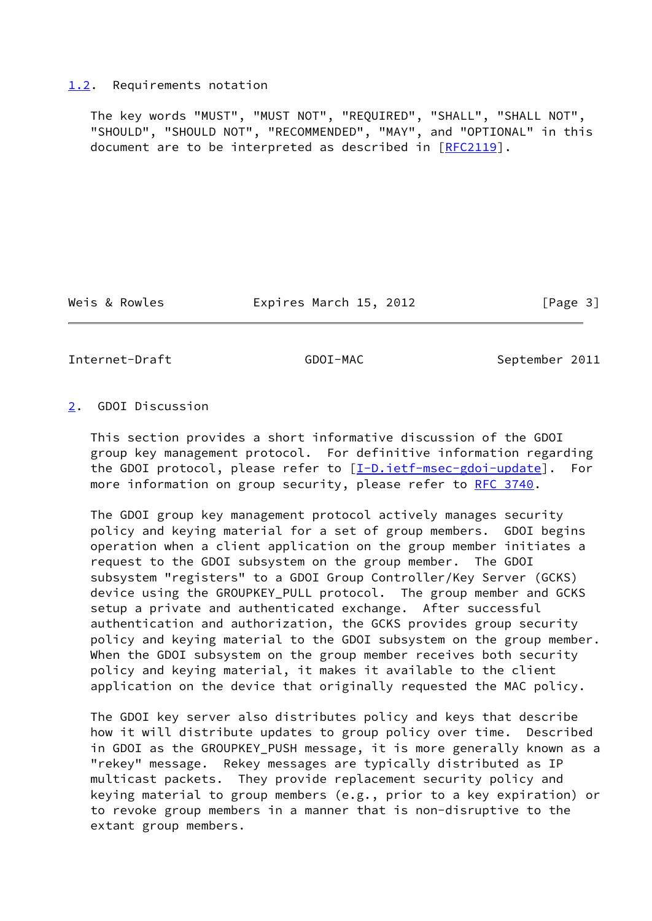#### <span id="page-3-0"></span>[1.2](#page-3-0). Requirements notation

 The key words "MUST", "MUST NOT", "REQUIRED", "SHALL", "SHALL NOT", "SHOULD", "SHOULD NOT", "RECOMMENDED", "MAY", and "OPTIONAL" in this document are to be interpreted as described in [\[RFC2119](https://datatracker.ietf.org/doc/pdf/rfc2119)].

Weis & Rowles **Expires March 15, 2012** [Page 3]

<span id="page-3-2"></span>Internet-Draft GDOI-MAC September 2011

#### <span id="page-3-1"></span>[2](#page-3-1). GDOI Discussion

 This section provides a short informative discussion of the GDOI group key management protocol. For definitive information regarding the GDOI protocol, please refer to [[I-D.ietf-msec-gdoi-update\]](#page-17-4). For more information on group security, please refer to [RFC 3740.](https://datatracker.ietf.org/doc/pdf/rfc3740)

 The GDOI group key management protocol actively manages security policy and keying material for a set of group members. GDOI begins operation when a client application on the group member initiates a request to the GDOI subsystem on the group member. The GDOI subsystem "registers" to a GDOI Group Controller/Key Server (GCKS) device using the GROUPKEY\_PULL protocol. The group member and GCKS setup a private and authenticated exchange. After successful authentication and authorization, the GCKS provides group security policy and keying material to the GDOI subsystem on the group member. When the GDOI subsystem on the group member receives both security policy and keying material, it makes it available to the client application on the device that originally requested the MAC policy.

 The GDOI key server also distributes policy and keys that describe how it will distribute updates to group policy over time. Described in GDOI as the GROUPKEY\_PUSH message, it is more generally known as a "rekey" message. Rekey messages are typically distributed as IP multicast packets. They provide replacement security policy and keying material to group members (e.g., prior to a key expiration) or to revoke group members in a manner that is non-disruptive to the extant group members.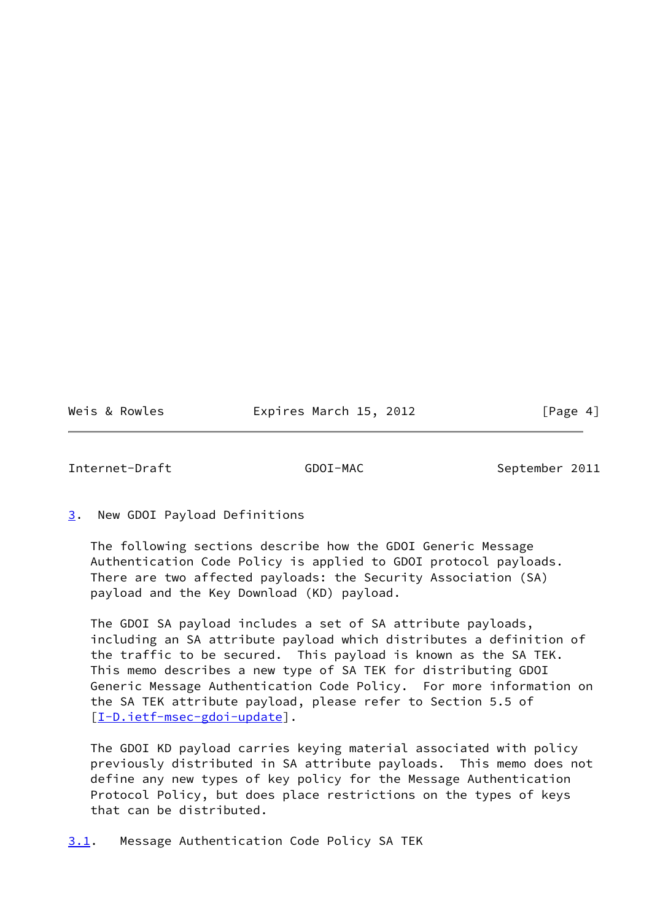Weis & Rowles **Expires March 15, 2012** [Page 4]

<span id="page-4-1"></span>Internet-Draft GDOI-MAC September 2011

<span id="page-4-0"></span>[3](#page-4-0). New GDOI Payload Definitions

 The following sections describe how the GDOI Generic Message Authentication Code Policy is applied to GDOI protocol payloads. There are two affected payloads: the Security Association (SA) payload and the Key Download (KD) payload.

 The GDOI SA payload includes a set of SA attribute payloads, including an SA attribute payload which distributes a definition of the traffic to be secured. This payload is known as the SA TEK. This memo describes a new type of SA TEK for distributing GDOI Generic Message Authentication Code Policy. For more information on the SA TEK attribute payload, please refer to Section 5.5 of [\[I-D.ietf-msec-gdoi-update](#page-17-4)].

 The GDOI KD payload carries keying material associated with policy previously distributed in SA attribute payloads. This memo does not define any new types of key policy for the Message Authentication Protocol Policy, but does place restrictions on the types of keys that can be distributed.

<span id="page-4-2"></span>[3.1](#page-4-2). Message Authentication Code Policy SA TEK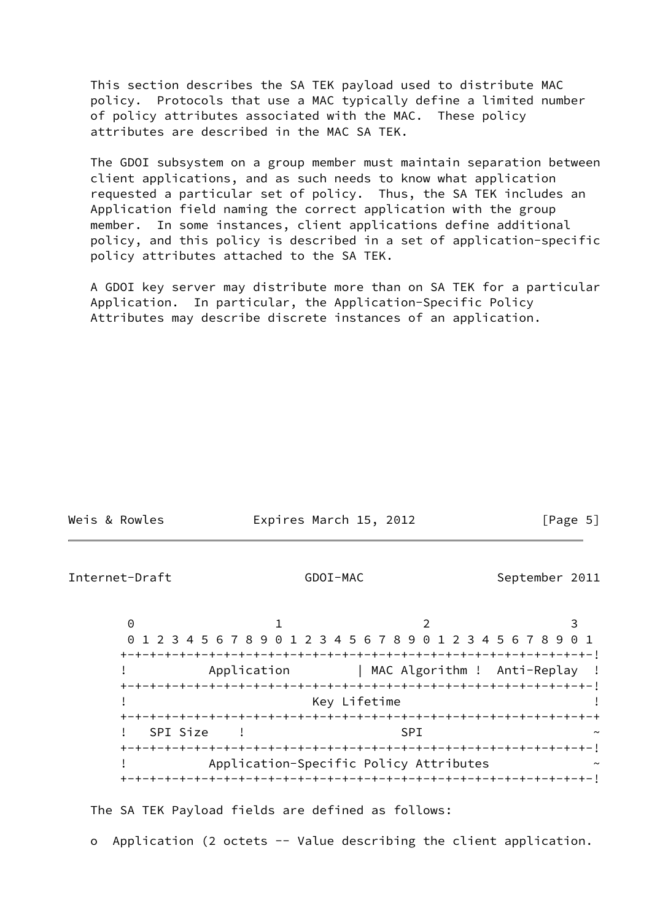This section describes the SA TEK payload used to distribute MAC policy. Protocols that use a MAC typically define a limited number of policy attributes associated with the MAC. These policy attributes are described in the MAC SA TEK.

 The GDOI subsystem on a group member must maintain separation between client applications, and as such needs to know what application requested a particular set of policy. Thus, the SA TEK includes an Application field naming the correct application with the group member. In some instances, client applications define additional policy, and this policy is described in a set of application-specific policy attributes attached to the SA TEK.

 A GDOI key server may distribute more than on SA TEK for a particular Application. In particular, the Application-Specific Policy Attributes may describe discrete instances of an application.

<span id="page-5-0"></span>

| Weis & Rowles  | Expires March 15, 2012                                             | $\lceil \text{Page } 5 \rceil$ |
|----------------|--------------------------------------------------------------------|--------------------------------|
| Internet-Draft | GDOI-MAC                                                           | September 2011                 |
| $\Theta$       | 2<br>1 2 3 4 5 6 7 8 9 0 1 2 3 4 5 6 7 8 9 0 1 2 3 4 5 6 7 8 9 0 1 | 3                              |
|                | Application   MAC Algorithm ! Anti-Replay !                        |                                |
|                | Key Lifetime                                                       |                                |
|                | SPI Size<br><b>SPT</b>                                             |                                |
|                | Application-Specific Policy Attributes                             |                                |

The SA TEK Payload fields are defined as follows:

o Application (2 octets -- Value describing the client application.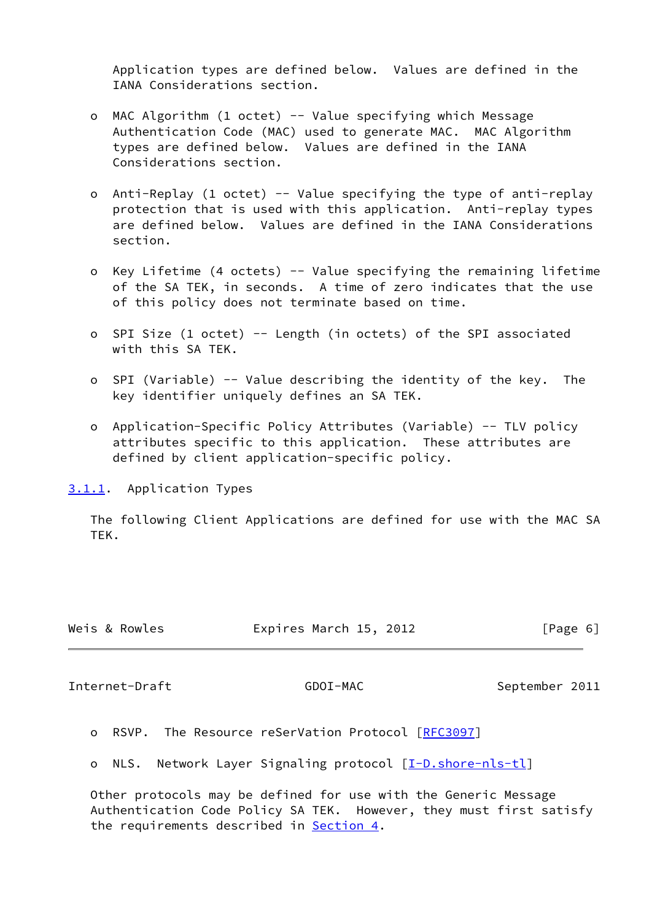Application types are defined below. Values are defined in the IANA Considerations section.

- o MAC Algorithm (1 octet) -- Value specifying which Message Authentication Code (MAC) used to generate MAC. MAC Algorithm types are defined below. Values are defined in the IANA Considerations section.
- o Anti-Replay (1 octet) -- Value specifying the type of anti-replay protection that is used with this application. Anti-replay types are defined below. Values are defined in the IANA Considerations section.
- o Key Lifetime (4 octets) -- Value specifying the remaining lifetime of the SA TEK, in seconds. A time of zero indicates that the use of this policy does not terminate based on time.
- o SPI Size (1 octet) -- Length (in octets) of the SPI associated with this SA TEK.
- o SPI (Variable) -- Value describing the identity of the key. The key identifier uniquely defines an SA TEK.
- o Application-Specific Policy Attributes (Variable) -- TLV policy attributes specific to this application. These attributes are defined by client application-specific policy.

<span id="page-6-0"></span>[3.1.1](#page-6-0). Application Types

 The following Client Applications are defined for use with the MAC SA TEK.

| Expires March 15, 2012<br>Weis & Rowles<br>[Page 6] |  |
|-----------------------------------------------------|--|
|-----------------------------------------------------|--|

<span id="page-6-1"></span>Internet-Draft GDOI-MAC September 2011

o RSVP. The Resource reSerVation Protocol [\[RFC3097](https://datatracker.ietf.org/doc/pdf/rfc3097)]

o NLS. Network Layer Signaling protocol [[I-D.shore-nls-tl\]](#page-17-5)

 Other protocols may be defined for use with the Generic Message Authentication Code Policy SA TEK. However, they must first satisfy the requirements described in [Section 4.](#page-9-0)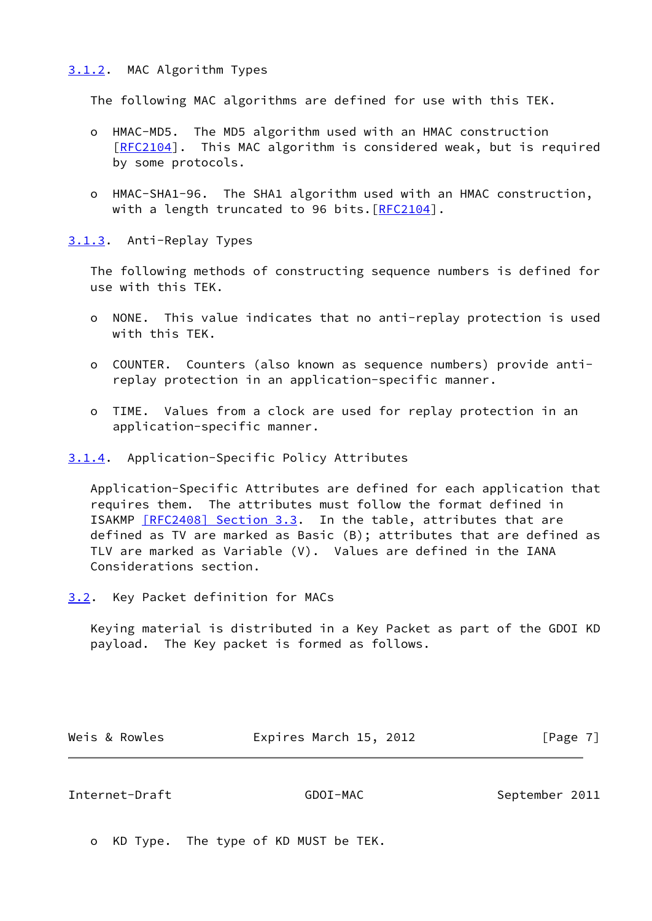#### <span id="page-7-0"></span>[3.1.2](#page-7-0). MAC Algorithm Types

The following MAC algorithms are defined for use with this TEK.

- o HMAC-MD5. The MD5 algorithm used with an HMAC construction [[RFC2104\]](https://datatracker.ietf.org/doc/pdf/rfc2104). This MAC algorithm is considered weak, but is required by some protocols.
- o HMAC-SHA1-96. The SHA1 algorithm used with an HMAC construction, with a length truncated to 96 bits. [[RFC2104](https://datatracker.ietf.org/doc/pdf/rfc2104)].

<span id="page-7-1"></span>[3.1.3](#page-7-1). Anti-Replay Types

 The following methods of constructing sequence numbers is defined for use with this TEK.

- o NONE. This value indicates that no anti-replay protection is used with this TEK.
- o COUNTER. Counters (also known as sequence numbers) provide anti replay protection in an application-specific manner.
- o TIME. Values from a clock are used for replay protection in an application-specific manner.

<span id="page-7-2"></span>[3.1.4](#page-7-2). Application-Specific Policy Attributes

 Application-Specific Attributes are defined for each application that requires them. The attributes must follow the format defined in ISAKMP [\[RFC2408\] Section](https://datatracker.ietf.org/doc/pdf/rfc2408#section-3.3) 3.3. In the table, attributes that are defined as TV are marked as Basic (B); attributes that are defined as TLV are marked as Variable (V). Values are defined in the IANA Considerations section.

<span id="page-7-3"></span>[3.2](#page-7-3). Key Packet definition for MACs

 Keying material is distributed in a Key Packet as part of the GDOI KD payload. The Key packet is formed as follows.

Weis & Rowles **Expires March 15, 2012** [Page 7]

#### Internet-Draft GDOI-MAC September 2011

o KD Type. The type of KD MUST be TEK.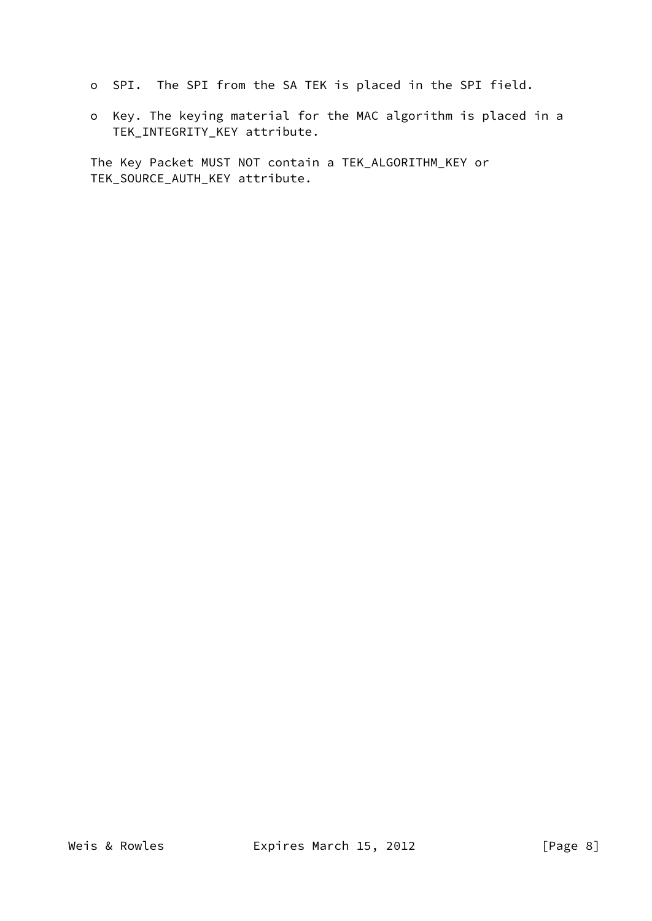- o SPI. The SPI from the SA TEK is placed in the SPI field.
- o Key. The keying material for the MAC algorithm is placed in a TEK\_INTEGRITY\_KEY attribute.

 The Key Packet MUST NOT contain a TEK\_ALGORITHM\_KEY or TEK\_SOURCE\_AUTH\_KEY attribute.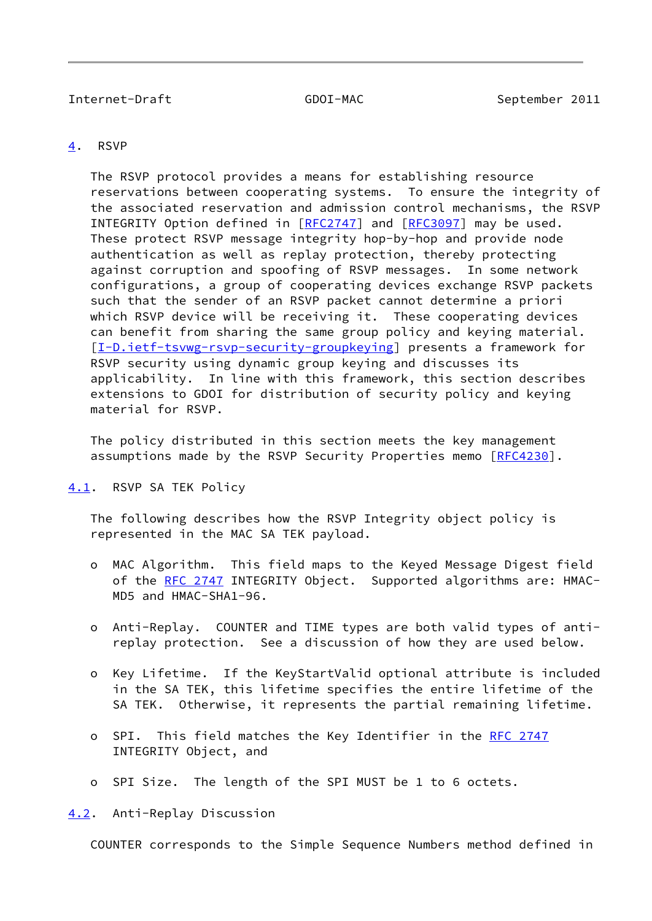#### <span id="page-9-1"></span>Internet-Draft GDOI-MAC September 2011

#### <span id="page-9-0"></span>[4](#page-9-0). RSVP

 The RSVP protocol provides a means for establishing resource reservations between cooperating systems. To ensure the integrity of the associated reservation and admission control mechanisms, the RSVP INTEGRITY Option defined in [\[RFC2747](https://datatracker.ietf.org/doc/pdf/rfc2747)] and [[RFC3097](https://datatracker.ietf.org/doc/pdf/rfc3097)] may be used. These protect RSVP message integrity hop-by-hop and provide node authentication as well as replay protection, thereby protecting against corruption and spoofing of RSVP messages. In some network configurations, a group of cooperating devices exchange RSVP packets such that the sender of an RSVP packet cannot determine a priori which RSVP device will be receiving it. These cooperating devices can benefit from sharing the same group policy and keying material. [\[I-D.ietf-tsvwg-rsvp-security-groupkeying](#page-17-6)] presents a framework for RSVP security using dynamic group keying and discusses its applicability. In line with this framework, this section describes extensions to GDOI for distribution of security policy and keying material for RSVP.

 The policy distributed in this section meets the key management assumptions made by the RSVP Security Properties memo [[RFC4230](https://datatracker.ietf.org/doc/pdf/rfc4230)].

<span id="page-9-2"></span>[4.1](#page-9-2). RSVP SA TEK Policy

 The following describes how the RSVP Integrity object policy is represented in the MAC SA TEK payload.

- o MAC Algorithm. This field maps to the Keyed Message Digest field of the [RFC 2747](https://datatracker.ietf.org/doc/pdf/rfc2747) INTEGRITY Object. Supported algorithms are: HMAC-MD5 and HMAC-SHA1-96.
- o Anti-Replay. COUNTER and TIME types are both valid types of anti replay protection. See a discussion of how they are used below.
- o Key Lifetime. If the KeyStartValid optional attribute is included in the SA TEK, this lifetime specifies the entire lifetime of the SA TEK. Otherwise, it represents the partial remaining lifetime.
- o SPI. This field matches the Key Identifier in the [RFC 2747](https://datatracker.ietf.org/doc/pdf/rfc2747) INTEGRITY Object, and
- o SPI Size. The length of the SPI MUST be 1 to 6 octets.

<span id="page-9-3"></span>[4.2](#page-9-3). Anti-Replay Discussion

COUNTER corresponds to the Simple Sequence Numbers method defined in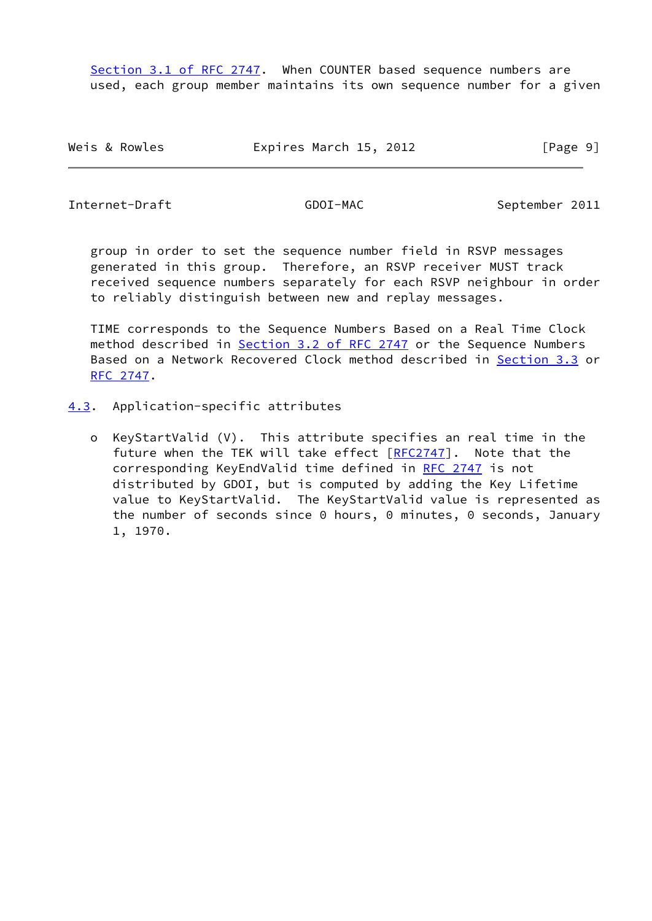Section [3.1 of RFC 2747](https://datatracker.ietf.org/doc/pdf/rfc2747#section-3.1). When COUNTER based sequence numbers are used, each group member maintains its own sequence number for a given

Weis & Rowles **Expires March 15, 2012** [Page 9]

<span id="page-10-1"></span>Internet-Draft GDOI-MAC September 2011

 group in order to set the sequence number field in RSVP messages generated in this group. Therefore, an RSVP receiver MUST track received sequence numbers separately for each RSVP neighbour in order to reliably distinguish between new and replay messages.

 TIME corresponds to the Sequence Numbers Based on a Real Time Clock method described in Section [3.2 of RFC 2747](https://datatracker.ietf.org/doc/pdf/rfc2747#section-3.2) or the Sequence Numbers Based on a Network Recovered Clock method described in Section 3.3 or [RFC 2747](https://datatracker.ietf.org/doc/pdf/rfc2747).

- <span id="page-10-0"></span>[4.3](#page-10-0). Application-specific attributes
	- o KeyStartValid (V). This attribute specifies an real time in the future when the TEK will take effect [\[RFC2747](https://datatracker.ietf.org/doc/pdf/rfc2747)]. Note that the corresponding KeyEndValid time defined in [RFC 2747](https://datatracker.ietf.org/doc/pdf/rfc2747) is not distributed by GDOI, but is computed by adding the Key Lifetime value to KeyStartValid. The KeyStartValid value is represented as the number of seconds since 0 hours, 0 minutes, 0 seconds, January 1, 1970.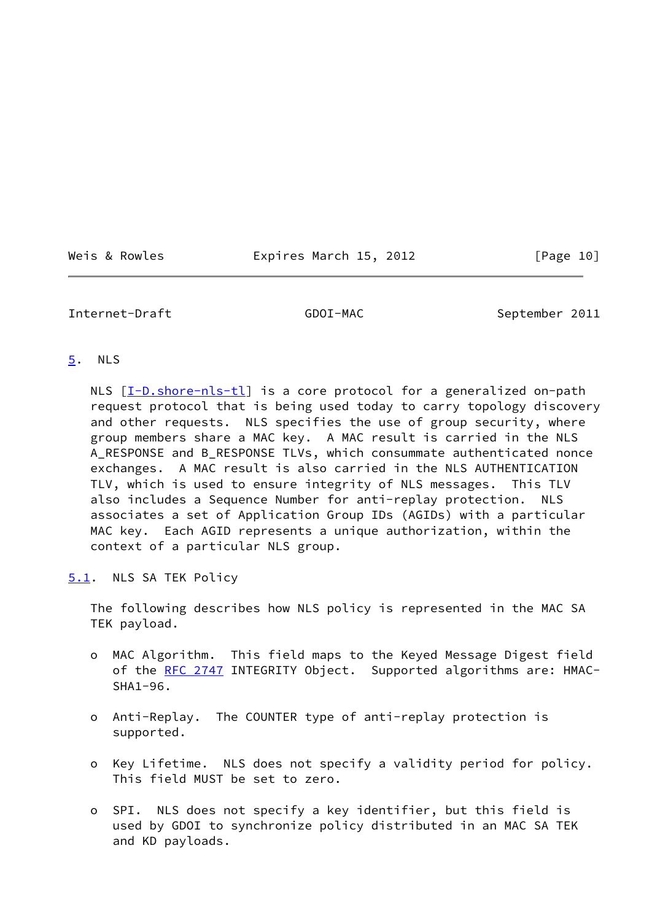Weis & Rowles **Expires March 15, 2012** [Page 10]

### <span id="page-11-1"></span>Internet-Draft GDOI-MAC September 2011

#### <span id="page-11-0"></span>[5](#page-11-0). NLS

NLS [\[I-D.shore-nls-tl](#page-17-5)] is a core protocol for a generalized on-path request protocol that is being used today to carry topology discovery and other requests. NLS specifies the use of group security, where group members share a MAC key. A MAC result is carried in the NLS A\_RESPONSE and B\_RESPONSE TLVs, which consummate authenticated nonce exchanges. A MAC result is also carried in the NLS AUTHENTICATION TLV, which is used to ensure integrity of NLS messages. This TLV also includes a Sequence Number for anti-replay protection. NLS associates a set of Application Group IDs (AGIDs) with a particular MAC key. Each AGID represents a unique authorization, within the context of a particular NLS group.

<span id="page-11-2"></span>[5.1](#page-11-2). NLS SA TEK Policy

 The following describes how NLS policy is represented in the MAC SA TEK payload.

- o MAC Algorithm. This field maps to the Keyed Message Digest field of the [RFC 2747](https://datatracker.ietf.org/doc/pdf/rfc2747) INTEGRITY Object. Supported algorithms are: HMAC-SHA1-96.
- o Anti-Replay. The COUNTER type of anti-replay protection is supported.
- o Key Lifetime. NLS does not specify a validity period for policy. This field MUST be set to zero.
- o SPI. NLS does not specify a key identifier, but this field is used by GDOI to synchronize policy distributed in an MAC SA TEK and KD payloads.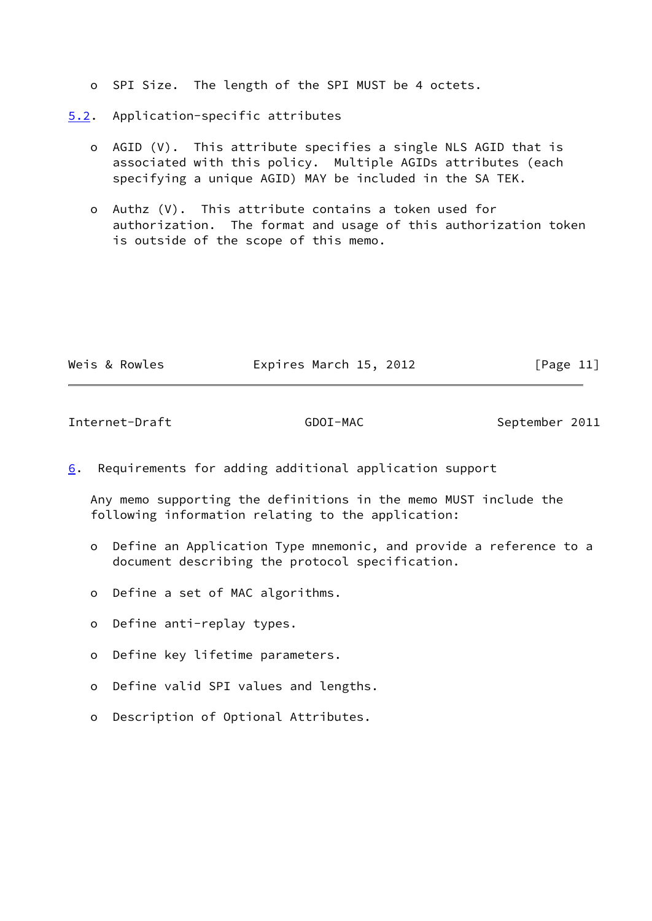- o SPI Size. The length of the SPI MUST be 4 octets.
- <span id="page-12-0"></span>[5.2](#page-12-0). Application-specific attributes
	- o AGID (V). This attribute specifies a single NLS AGID that is associated with this policy. Multiple AGIDs attributes (each specifying a unique AGID) MAY be included in the SA TEK.
	- o Authz (V). This attribute contains a token used for authorization. The format and usage of this authorization token is outside of the scope of this memo.

| Weis & Rowles | Expires March 15, 2012 | [Page 11] |
|---------------|------------------------|-----------|
|               |                        |           |

<span id="page-12-2"></span>Internet-Draft GDOI-MAC September 2011

<span id="page-12-1"></span>[6](#page-12-1). Requirements for adding additional application support

 Any memo supporting the definitions in the memo MUST include the following information relating to the application:

- o Define an Application Type mnemonic, and provide a reference to a document describing the protocol specification.
- o Define a set of MAC algorithms.
- o Define anti-replay types.
- o Define key lifetime parameters.
- o Define valid SPI values and lengths.
- o Description of Optional Attributes.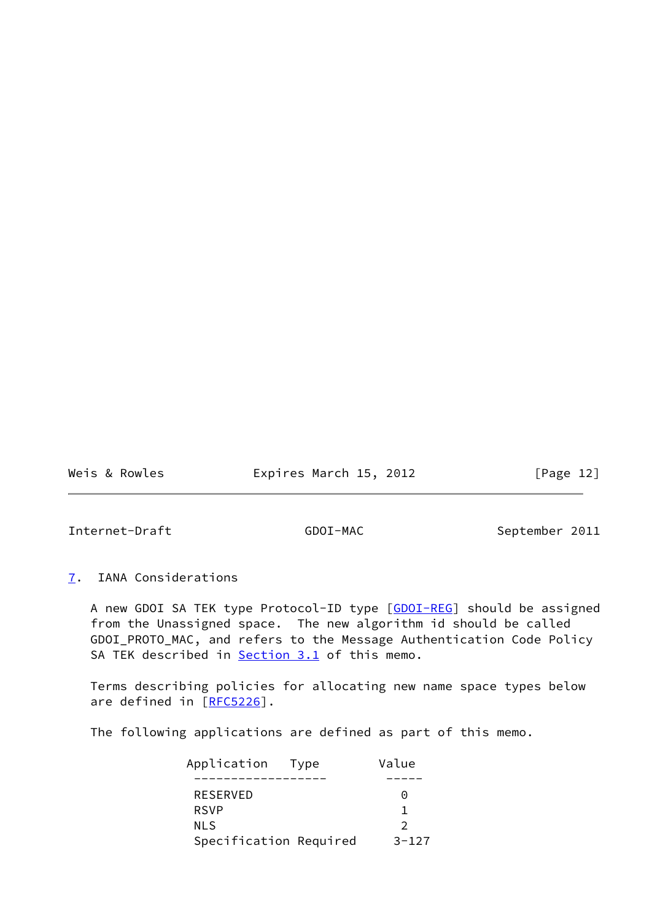Weis & Rowles **Expires March 15, 2012** [Page 12]

<span id="page-13-1"></span>Internet-Draft GDOI-MAC September 2011

<span id="page-13-0"></span>[7](#page-13-0). IANA Considerations

A new GDOI SA TEK type Protocol-ID type [\[GDOI-REG](#page-17-7)] should be assigned from the Unassigned space. The new algorithm id should be called GDOI\_PROTO\_MAC, and refers to the Message Authentication Code Policy SA TEK described in **Section 3.1** of this memo.

 Terms describing policies for allocating new name space types below are defined in [\[RFC5226](https://datatracker.ietf.org/doc/pdf/rfc5226)].

The following applications are defined as part of this memo.

| Application Type       | Value                |
|------------------------|----------------------|
|                        |                      |
| RESERVED               | $\left(\cdot\right)$ |
| <b>RSVP</b>            |                      |
| <b>NLS</b>             |                      |
| Specification Required | $3 - 127$            |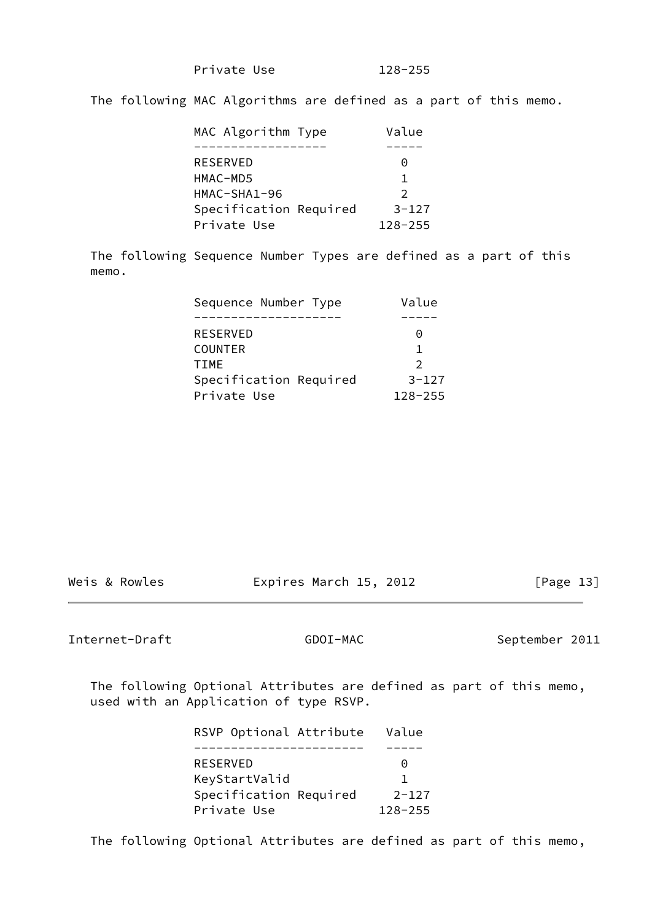Private Use 128-255

The following MAC Algorithms are defined as a part of this memo.

| MAC Algorithm Type     | Value         |
|------------------------|---------------|
|                        |               |
| <b>RESERVED</b>        | $\Theta$      |
| HMAC-MD5               |               |
| HMAC-SHA1-96           | $\mathcal{P}$ |
| Specification Required | $3 - 127$     |
| Private Use            | $128 - 255$   |

 The following Sequence Number Types are defined as a part of this memo.

| Sequence Number Type   | Value         |
|------------------------|---------------|
|                        |               |
| RESERVED               | 0             |
| <b>COUNTER</b>         | 1.            |
| <b>TTMF</b>            | $\mathcal{P}$ |
| Specification Required | $3 - 127$     |
| Private Use            | $128 - 255$   |

Weis & Rowles **Expires March 15, 2012** [Page 13]

Internet-Draft GDOI-MAC September 2011

 The following Optional Attributes are defined as part of this memo, used with an Application of type RSVP.

| RSVP Optional Attribute | Value       |
|-------------------------|-------------|
|                         |             |
| RESERVED                | $\Theta$    |
| KeyStartValid           |             |
| Specification Required  | $2 - 127$   |
| Private Use             | $128 - 255$ |

The following Optional Attributes are defined as part of this memo,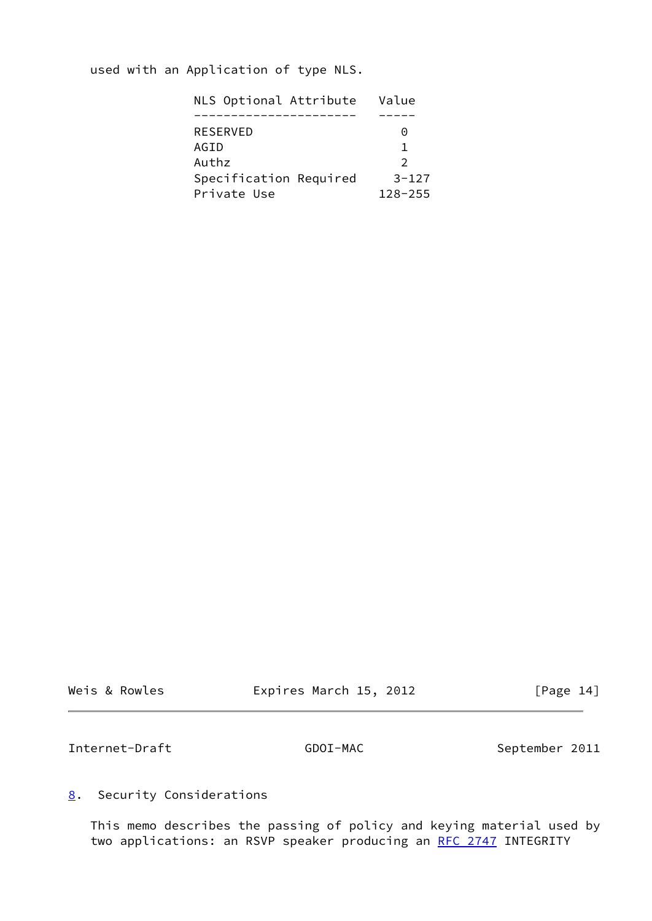used with an Application of type NLS.

| NLS Optional Attribute | Value         |
|------------------------|---------------|
|                        |               |
| <b>RESERVED</b>        | $\Theta$      |
| AGID                   |               |
| Authz                  | $\mathcal{P}$ |
| Specification Required | $3 - 127$     |
| Private Use            | $128 - 255$   |

|  | Weis & Rowles |
|--|---------------|
|--|---------------|

Expires March 15, 2012 [Page 14]

<span id="page-15-1"></span>Internet-Draft GDOI-MAC September 2011

# <span id="page-15-0"></span>[8](#page-15-0). Security Considerations

 This memo describes the passing of policy and keying material used by two applications: an RSVP speaker producing an [RFC 2747](https://datatracker.ietf.org/doc/pdf/rfc2747) INTEGRITY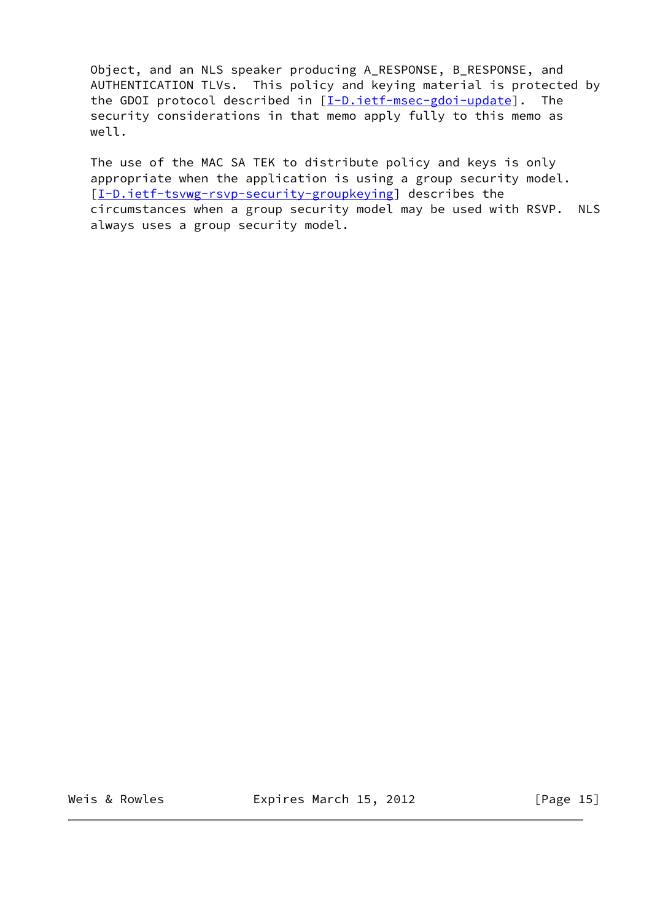Object, and an NLS speaker producing A\_RESPONSE, B\_RESPONSE, and AUTHENTICATION TLVs. This policy and keying material is protected by the GDOI protocol described in  $[I-D.iet f-msec-gdoi-update]$ . The security considerations in that memo apply fully to this memo as well.

 The use of the MAC SA TEK to distribute policy and keys is only appropriate when the application is using a group security model. [\[I-D.ietf-tsvwg-rsvp-security-groupkeying](#page-17-6)] describes the circumstances when a group security model may be used with RSVP. NLS always uses a group security model.

Weis & Rowles **Expires March 15, 2012** [Page 15]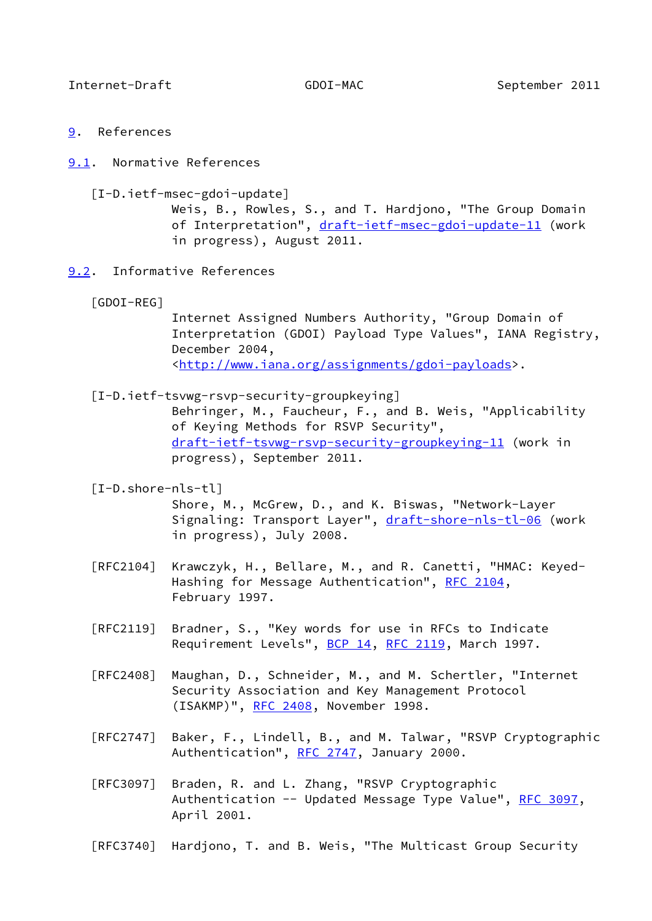- <span id="page-17-1"></span><span id="page-17-0"></span>[9](#page-17-0). References
- <span id="page-17-4"></span><span id="page-17-2"></span>[9.1](#page-17-2). Normative References
	- [I-D.ietf-msec-gdoi-update]
		- Weis, B., Rowles, S., and T. Hardjono, "The Group Domain of Interpretation", [draft-ietf-msec-gdoi-update-11](https://datatracker.ietf.org/doc/pdf/draft-ietf-msec-gdoi-update-11) (work in progress), August 2011.
- <span id="page-17-7"></span><span id="page-17-3"></span>[9.2](#page-17-3). Informative References
	- [GDOI-REG]

 Internet Assigned Numbers Authority, "Group Domain of Interpretation (GDOI) Payload Type Values", IANA Registry, December 2004, <[http://www.iana.org/assignments/gdoi-payloads>](http://www.iana.org/assignments/gdoi-payloads).

<span id="page-17-6"></span>[I-D.ietf-tsvwg-rsvp-security-groupkeying]

 Behringer, M., Faucheur, F., and B. Weis, "Applicability of Keying Methods for RSVP Security", [draft-ietf-tsvwg-rsvp-security-groupkeying-11](https://datatracker.ietf.org/doc/pdf/draft-ietf-tsvwg-rsvp-security-groupkeying-11) (work in progress), September 2011.

#### <span id="page-17-5"></span>[I-D.shore-nls-tl]

 Shore, M., McGrew, D., and K. Biswas, "Network-Layer Signaling: Transport Layer", [draft-shore-nls-tl-06](https://datatracker.ietf.org/doc/pdf/draft-shore-nls-tl-06) (work in progress), July 2008.

- [RFC2104] Krawczyk, H., Bellare, M., and R. Canetti, "HMAC: Keyed- Hashing for Message Authentication", [RFC 2104](https://datatracker.ietf.org/doc/pdf/rfc2104), February 1997.
- [RFC2119] Bradner, S., "Key words for use in RFCs to Indicate Requirement Levels", [BCP 14](https://datatracker.ietf.org/doc/pdf/bcp14), [RFC 2119](https://datatracker.ietf.org/doc/pdf/rfc2119), March 1997.
- [RFC2408] Maughan, D., Schneider, M., and M. Schertler, "Internet Security Association and Key Management Protocol (ISAKMP)", [RFC 2408](https://datatracker.ietf.org/doc/pdf/rfc2408), November 1998.
- [RFC2747] Baker, F., Lindell, B., and M. Talwar, "RSVP Cryptographic Authentication", [RFC 2747,](https://datatracker.ietf.org/doc/pdf/rfc2747) January 2000.
- [RFC3097] Braden, R. and L. Zhang, "RSVP Cryptographic Authentication -- Updated Message Type Value", [RFC 3097](https://datatracker.ietf.org/doc/pdf/rfc3097), April 2001.
- [RFC3740] Hardjono, T. and B. Weis, "The Multicast Group Security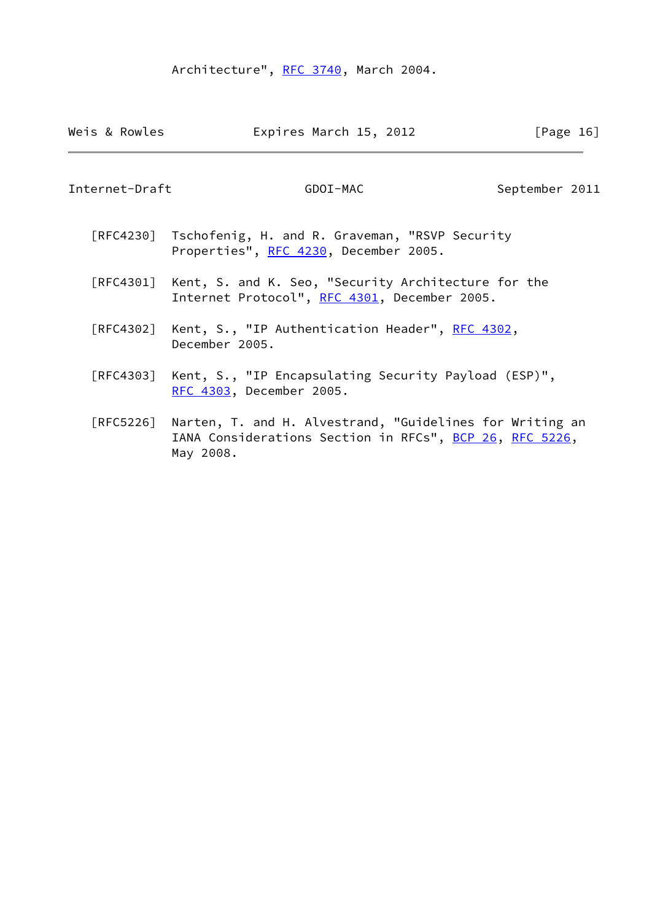# Architecture", [RFC 3740](https://datatracker.ietf.org/doc/pdf/rfc3740), March 2004.

| Weis & Rowles  | Expires March 15, 2012                                                                                                                     | [Page $16$ ]   |
|----------------|--------------------------------------------------------------------------------------------------------------------------------------------|----------------|
| Internet-Draft | GDOI-MAC                                                                                                                                   | September 2011 |
|                | [RFC4230] Tschofenig, H. and R. Graveman, "RSVP Security<br>Properties", RFC 4230, December 2005.                                          |                |
|                | [RFC4301] Kent, S. and K. Seo, "Security Architecture for the<br>Internet Protocol", RFC 4301, December 2005.                              |                |
|                | [RFC4302] Kent, S., "IP Authentication Header", RFC 4302,<br>December 2005.                                                                |                |
| [RFC4303]      | Kent, S., "IP Encapsulating Security Payload (ESP)",<br>RFC 4303, December 2005.                                                           |                |
|                | [RFC5226] Narten, T. and H. Alvestrand, "Guidelines for Writing an<br>IANA Considerations Section in RFCs", BCP 26, RFC 5226,<br>May 2008. |                |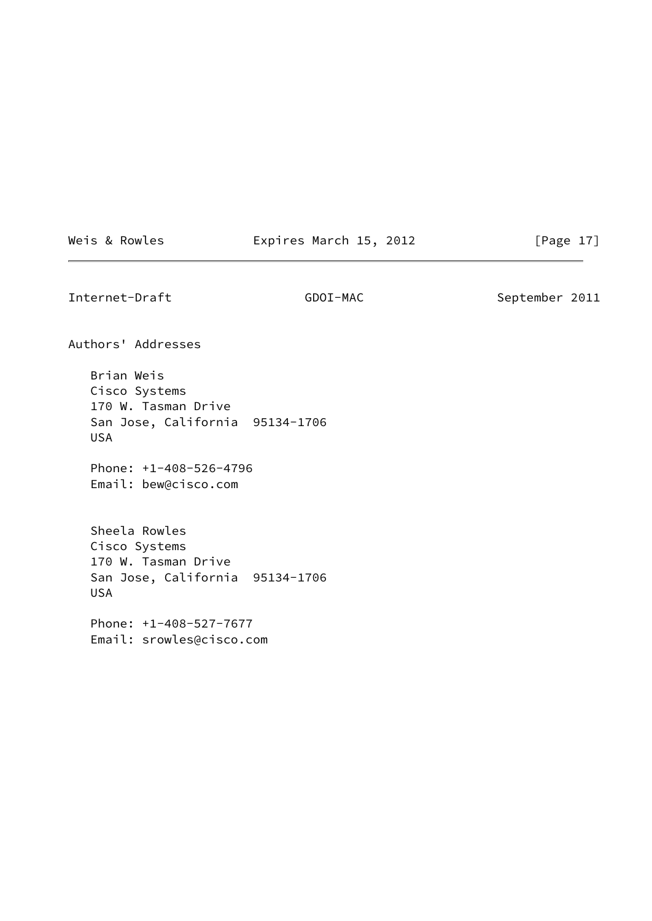Weis & Rowles **Expires March 15, 2012** [Page 17]

<span id="page-19-0"></span>Internet-Draft GDOI-MAC September 2011

Authors' Addresses

 Brian Weis Cisco Systems 170 W. Tasman Drive San Jose, California 95134-1706 USA

 Phone: +1-408-526-4796 Email: bew@cisco.com

 Sheela Rowles Cisco Systems 170 W. Tasman Drive San Jose, California 95134-1706 USA

 Phone: +1-408-527-7677 Email: srowles@cisco.com